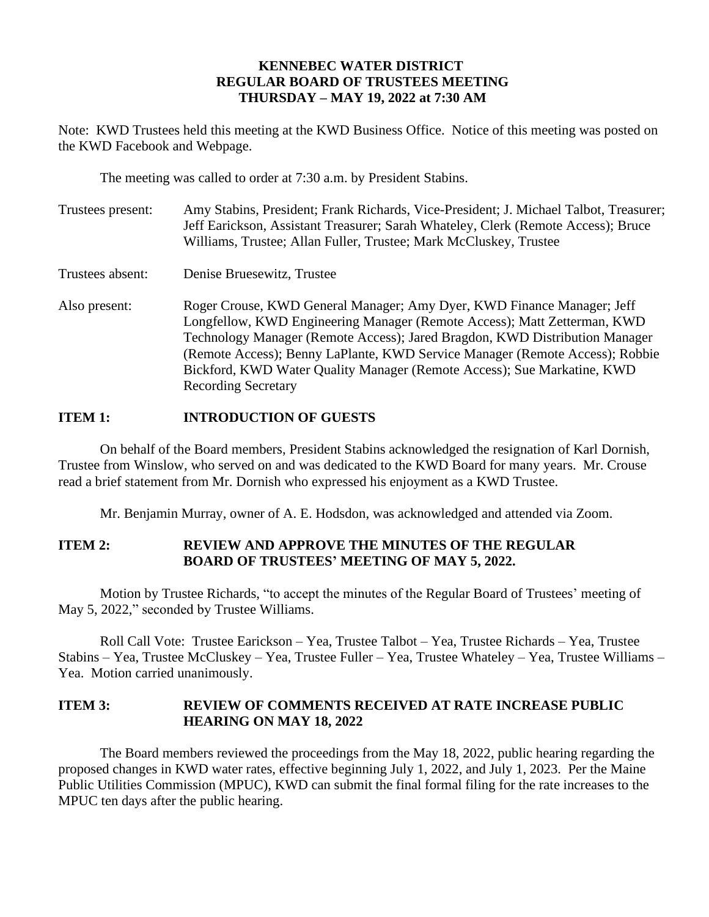# **KENNEBEC WATER DISTRICT REGULAR BOARD OF TRUSTEES MEETING THURSDAY – MAY 19, 2022 at 7:30 AM**

Note: KWD Trustees held this meeting at the KWD Business Office. Notice of this meeting was posted on the KWD Facebook and Webpage.

The meeting was called to order at 7:30 a.m. by President Stabins.

| Trustees present: | Amy Stabins, President; Frank Richards, Vice-President; J. Michael Talbot, Treasurer;<br>Jeff Earickson, Assistant Treasurer; Sarah Whateley, Clerk (Remote Access); Bruce<br>Williams, Trustee; Allan Fuller, Trustee; Mark McCluskey, Trustee                                                                                                                                                                            |
|-------------------|----------------------------------------------------------------------------------------------------------------------------------------------------------------------------------------------------------------------------------------------------------------------------------------------------------------------------------------------------------------------------------------------------------------------------|
| Trustees absent:  | Denise Bruesewitz, Trustee                                                                                                                                                                                                                                                                                                                                                                                                 |
| Also present:     | Roger Crouse, KWD General Manager; Amy Dyer, KWD Finance Manager; Jeff<br>Longfellow, KWD Engineering Manager (Remote Access); Matt Zetterman, KWD<br>Technology Manager (Remote Access); Jared Bragdon, KWD Distribution Manager<br>(Remote Access); Benny LaPlante, KWD Service Manager (Remote Access); Robbie<br>Bickford, KWD Water Quality Manager (Remote Access); Sue Markatine, KWD<br><b>Recording Secretary</b> |

# **ITEM 1: INTRODUCTION OF GUESTS**

On behalf of the Board members, President Stabins acknowledged the resignation of Karl Dornish, Trustee from Winslow, who served on and was dedicated to the KWD Board for many years. Mr. Crouse read a brief statement from Mr. Dornish who expressed his enjoyment as a KWD Trustee.

Mr. Benjamin Murray, owner of A. E. Hodsdon, was acknowledged and attended via Zoom.

# **ITEM 2: REVIEW AND APPROVE THE MINUTES OF THE REGULAR BOARD OF TRUSTEES' MEETING OF MAY 5, 2022.**

Motion by Trustee Richards, "to accept the minutes of the Regular Board of Trustees' meeting of May 5, 2022," seconded by Trustee Williams.

Roll Call Vote: Trustee Earickson – Yea, Trustee Talbot – Yea, Trustee Richards – Yea, Trustee Stabins – Yea, Trustee McCluskey – Yea, Trustee Fuller – Yea, Trustee Whateley – Yea, Trustee Williams – Yea. Motion carried unanimously.

# **ITEM 3: REVIEW OF COMMENTS RECEIVED AT RATE INCREASE PUBLIC HEARING ON MAY 18, 2022**

The Board members reviewed the proceedings from the May 18, 2022, public hearing regarding the proposed changes in KWD water rates, effective beginning July 1, 2022, and July 1, 2023. Per the Maine Public Utilities Commission (MPUC), KWD can submit the final formal filing for the rate increases to the MPUC ten days after the public hearing.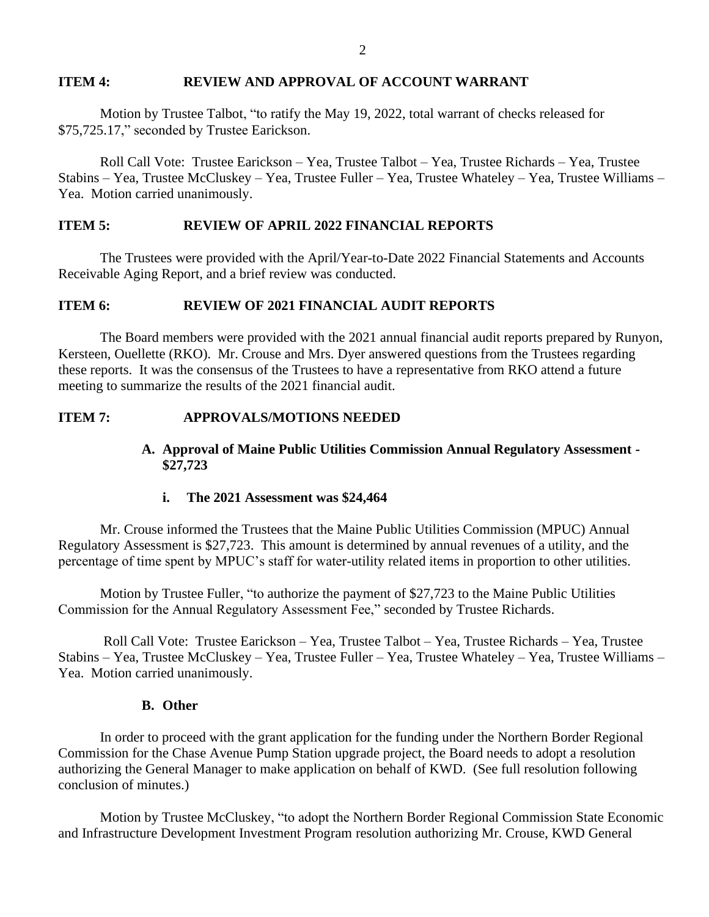#### **ITEM 4: REVIEW AND APPROVAL OF ACCOUNT WARRANT**

Motion by Trustee Talbot, "to ratify the May 19, 2022, total warrant of checks released for \$75,725.17," seconded by Trustee Earickson.

Roll Call Vote: Trustee Earickson – Yea, Trustee Talbot – Yea, Trustee Richards – Yea, Trustee Stabins – Yea, Trustee McCluskey – Yea, Trustee Fuller – Yea, Trustee Whateley – Yea, Trustee Williams – Yea. Motion carried unanimously.

# **ITEM 5: REVIEW OF APRIL 2022 FINANCIAL REPORTS**

The Trustees were provided with the April/Year-to-Date 2022 Financial Statements and Accounts Receivable Aging Report, and a brief review was conducted.

### **ITEM 6: REVIEW OF 2021 FINANCIAL AUDIT REPORTS**

The Board members were provided with the 2021 annual financial audit reports prepared by Runyon, Kersteen, Ouellette (RKO). Mr. Crouse and Mrs. Dyer answered questions from the Trustees regarding these reports. It was the consensus of the Trustees to have a representative from RKO attend a future meeting to summarize the results of the 2021 financial audit.

#### **ITEM 7: APPROVALS/MOTIONS NEEDED**

### **A. Approval of Maine Public Utilities Commission Annual Regulatory Assessment - \$27,723**

### **i. The 2021 Assessment was \$24,464**

Mr. Crouse informed the Trustees that the Maine Public Utilities Commission (MPUC) Annual Regulatory Assessment is \$27,723. This amount is determined by annual revenues of a utility, and the percentage of time spent by MPUC's staff for water-utility related items in proportion to other utilities.

Motion by Trustee Fuller, "to authorize the payment of \$27,723 to the Maine Public Utilities Commission for the Annual Regulatory Assessment Fee," seconded by Trustee Richards.

Roll Call Vote: Trustee Earickson – Yea, Trustee Talbot – Yea, Trustee Richards – Yea, Trustee Stabins – Yea, Trustee McCluskey – Yea, Trustee Fuller – Yea, Trustee Whateley – Yea, Trustee Williams – Yea. Motion carried unanimously.

#### **B. Other**

In order to proceed with the grant application for the funding under the Northern Border Regional Commission for the Chase Avenue Pump Station upgrade project, the Board needs to adopt a resolution authorizing the General Manager to make application on behalf of KWD. (See full resolution following conclusion of minutes.)

Motion by Trustee McCluskey, "to adopt the Northern Border Regional Commission State Economic and Infrastructure Development Investment Program resolution authorizing Mr. Crouse, KWD General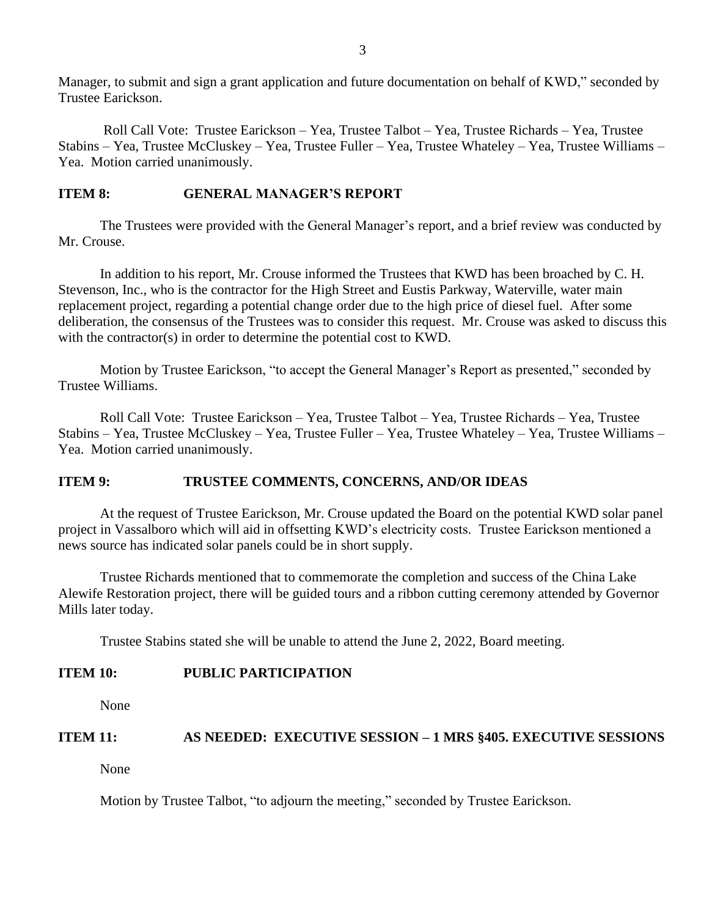Manager, to submit and sign a grant application and future documentation on behalf of KWD," seconded by Trustee Earickson.

Roll Call Vote: Trustee Earickson – Yea, Trustee Talbot – Yea, Trustee Richards – Yea, Trustee Stabins – Yea, Trustee McCluskey – Yea, Trustee Fuller – Yea, Trustee Whateley – Yea, Trustee Williams – Yea. Motion carried unanimously.

# **ITEM 8: GENERAL MANAGER'S REPORT**

The Trustees were provided with the General Manager's report, and a brief review was conducted by Mr. Crouse.

In addition to his report, Mr. Crouse informed the Trustees that KWD has been broached by C. H. Stevenson, Inc., who is the contractor for the High Street and Eustis Parkway, Waterville, water main replacement project, regarding a potential change order due to the high price of diesel fuel. After some deliberation, the consensus of the Trustees was to consider this request. Mr. Crouse was asked to discuss this with the contractor(s) in order to determine the potential cost to KWD.

Motion by Trustee Earickson, "to accept the General Manager's Report as presented," seconded by Trustee Williams.

Roll Call Vote: Trustee Earickson – Yea, Trustee Talbot – Yea, Trustee Richards – Yea, Trustee Stabins – Yea, Trustee McCluskey – Yea, Trustee Fuller – Yea, Trustee Whateley – Yea, Trustee Williams – Yea. Motion carried unanimously.

# **ITEM 9: TRUSTEE COMMENTS, CONCERNS, AND/OR IDEAS**

At the request of Trustee Earickson, Mr. Crouse updated the Board on the potential KWD solar panel project in Vassalboro which will aid in offsetting KWD's electricity costs. Trustee Earickson mentioned a news source has indicated solar panels could be in short supply.

Trustee Richards mentioned that to commemorate the completion and success of the China Lake Alewife Restoration project, there will be guided tours and a ribbon cutting ceremony attended by Governor Mills later today.

Trustee Stabins stated she will be unable to attend the June 2, 2022, Board meeting.

# **ITEM 10: PUBLIC PARTICIPATION**

None

# **ITEM 11: AS NEEDED: EXECUTIVE SESSION – 1 MRS §405. EXECUTIVE SESSIONS**

None

Motion by Trustee Talbot, "to adjourn the meeting," seconded by Trustee Earickson.